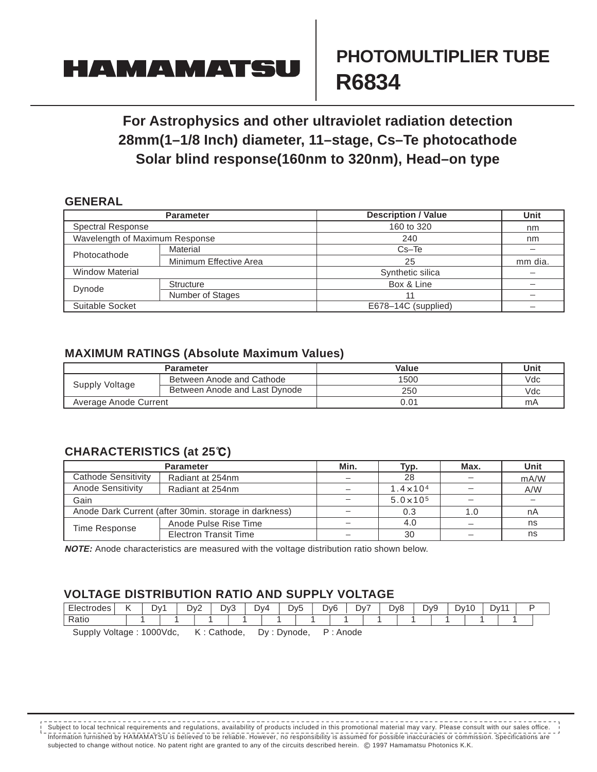## **HAMAMATS**

# **PHOTOMULTlPLlER TUBE R6834**

### **For Astrophysics and other ultraviolet radiation detection 28mm(1–1/8 Inch) diameter, 11–stage, Cs–Te photocathode Solar blind response(160nm to 320nm), Head–on type**

#### **GENERAL**

|                                | <b>Parameter</b>       | <b>Description / Value</b> | Unit    |
|--------------------------------|------------------------|----------------------------|---------|
| <b>Spectral Response</b>       |                        | 160 to 320                 | nm      |
| Wavelength of Maximum Response |                        | 240                        | nm      |
| Photocathode                   | Material               | $Cs - Te$                  |         |
|                                | Minimum Effective Area | 25                         | mm dia. |
| <b>Window Material</b>         |                        | Synthetic silica           |         |
| Dynode                         | <b>Structure</b>       | Box & Line                 |         |
|                                | Number of Stages       |                            |         |
| Suitable Socket                |                        | E678-14C (supplied)        |         |

#### **MAXIMUM RATINGS (Absolute Maximum Values)**

|                       | <b>Parameter</b>              | Value | Unit |
|-----------------------|-------------------------------|-------|------|
| Supply Voltage        | Between Anode and Cathode     | 1500  | Vdc  |
|                       | Between Anode and Last Dynode | 250   | Vdc  |
| Average Anode Current |                               | ა.ი1  | mA   |

### **CHARACTERISTlCS (at 25 )**

|                                                       | <b>Parameter</b>             | Min.                     | Typ.                | Max. | Unit |  |
|-------------------------------------------------------|------------------------------|--------------------------|---------------------|------|------|--|
| Cathode Sensitivity                                   | Radiant at 254nm             | 28                       |                     |      | mA/W |  |
| <b>Anode Sensitivity</b>                              | Radiant at 254nm             | -                        | $1.4 \times 10^{4}$ |      | A/W  |  |
| Gain                                                  |                              |                          | $5.0 \times 10^{5}$ |      |      |  |
| Anode Dark Current (after 30min. storage in darkness) | $\overline{\phantom{m}}$     | 0.3                      | 1.0                 | nA   |      |  |
| Time Response                                         | Anode Pulse Rise Time        | $\overline{\phantom{a}}$ | 4.0                 |      | ns   |  |
|                                                       | <b>Electron Transit Time</b> | $\overline{\phantom{0}}$ | 30                  |      | ns   |  |

**NOTE:** Anode characteristics are measured with the voltage distribution ratio shown below.

#### **VOLTAGE DlSTRlBUTlON RATlO AND SUPPLY VOLTAGE**

| Electrodes                                                                                              | . . | Dv1 | Dv. | $\sim$<br>. | Dv3 | Dv4 |  | Dv5<br>$\overline{\phantom{0}}$ | D <sub>v</sub> 6 |  | Dv7 | D <sub>v</sub> 8 | Dv9 | $\sqrt{2}$<br>ັບ∨<br>ำเร | Dv1 |  |  |
|---------------------------------------------------------------------------------------------------------|-----|-----|-----|-------------|-----|-----|--|---------------------------------|------------------|--|-----|------------------|-----|--------------------------|-----|--|--|
| D <sub>0</sub><br>Rallo                                                                                 |     |     |     |             |     |     |  |                                 |                  |  |     |                  |     |                          |     |  |  |
| $\mathbf{D}$ . A $\mathbf{A}$ is $\mathbf{A}$<br>$0.00011 - 1.00011$<br>$17.0245 - 12$<br>December 2014 |     |     |     |             |     |     |  |                                 |                  |  |     |                  |     |                          |     |  |  |

SuppIy Voltage : 1000Vdc, K : Cathode, Dy : Dynode, P : Anode

lnformation furnished by HAMAMATSU is believed to be reliabIe. However, no responsibility is assumed for possibIe inaccuracies or commission. Specifications are subjected to change without notice. No patent right are granted to any of the circuits described herein. © 1997 Hamamatsu Photonics K.K. Subject to local technical requirements and regulations, availability of products included in this promotional material may vary. Please consult with our sales office.